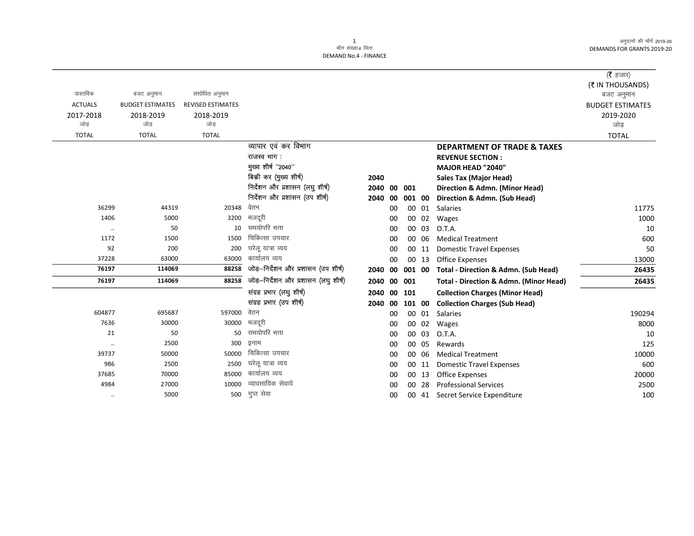|                      |                         |                          |                                      |         |    |        |       |                                                   | (रै हजार)               |
|----------------------|-------------------------|--------------------------|--------------------------------------|---------|----|--------|-------|---------------------------------------------------|-------------------------|
|                      |                         |                          |                                      |         |    |        |       |                                                   | (₹ IN THOUSANDS)        |
| वास्तविक             | बजट अनुमान              | संशोधित अनुमान           |                                      |         |    |        |       |                                                   | बजट अनुमान              |
| <b>ACTUALS</b>       | <b>BUDGET ESTIMATES</b> | <b>REVISED ESTIMATES</b> |                                      |         |    |        |       |                                                   | <b>BUDGET ESTIMATES</b> |
| 2017-2018            | 2018-2019               | 2018-2019                |                                      |         |    |        |       |                                                   | 2019-2020               |
| जोड                  | जोड                     | जोड                      |                                      |         |    |        |       |                                                   | जोड                     |
| <b>TOTAL</b>         | <b>TOTAL</b>            | <b>TOTAL</b>             |                                      |         |    |        |       |                                                   | <b>TOTAL</b>            |
|                      |                         |                          | व्यापार एवं कर विभाग                 |         |    |        |       | <b>DEPARTMENT OF TRADE &amp; TAXES</b>            |                         |
|                      |                         |                          | राजस्व भाग:                          |         |    |        |       | <b>REVENUE SECTION:</b>                           |                         |
|                      |                         |                          | मुख्य शीर्ष "2040"                   |         |    |        |       | <b>MAJOR HEAD "2040"</b>                          |                         |
|                      |                         |                          | बिकी कर (मुख्य शीर्ष)                | 2040    |    |        |       | <b>Sales Tax (Major Head)</b>                     |                         |
|                      |                         |                          | निर्देशन और प्रशासन (लघु शीर्ष)      | 2040    | 00 | 001    |       | Direction & Admn. (Minor Head)                    |                         |
|                      |                         |                          | निर्देशन और प्रशासन (उप शीर्ष)       | 2040    | 00 | 001 00 |       | Direction & Admn. (Sub Head)                      |                         |
| 36299                | 44319                   | 20348                    | वेतन                                 |         | 00 |        | 00 01 | Salaries                                          | 11775                   |
| 1406                 | 5000                    | 3200                     | मजदूरी                               |         | 00 |        | 00 02 | Wages                                             | 1000                    |
| $\ldots$             | 50                      | 10                       | समयोपरि भत्ता                        |         | 00 |        | 00 03 | O.T.A.                                            | 10                      |
| 1172                 | 1500                    | 1500                     | चिकित्सा उपचार                       |         | 00 |        | 00 06 | <b>Medical Treatment</b>                          | 600                     |
| 92                   | 200                     | 200                      | घरेलू यात्रा व्यय                    |         | 00 |        | 00 11 | <b>Domestic Travel Expenses</b>                   | 50                      |
| 37228                | 63000                   | 63000                    | कार्यालय व्यय                        |         | 00 |        | 00 13 | <b>Office Expenses</b>                            | 13000                   |
| 76197                | 114069                  | 88258                    | जोड़-निर्देशन और प्रशासन (उप शीर्ष)  | 2040    | 00 | 001 00 |       | Total - Direction & Admn. (Sub Head)              | 26435                   |
| 76197                | 114069                  | 88258                    | जोड़-निर्देशन और प्रशासन (लघु शीर्ष) | 2040    | 00 | 001    |       | <b>Total - Direction &amp; Admn. (Minor Head)</b> | 26435                   |
|                      |                         |                          | संग्रह प्रभार (लघु शीर्ष)            | 2040    |    | 00 101 |       | <b>Collection Charges (Minor Head)</b>            |                         |
|                      |                         |                          | संग्रह प्रभार (उप शीर्ष)             | 2040 00 |    | 101 00 |       | <b>Collection Charges (Sub Head)</b>              |                         |
| 604877               | 695687                  | 597000                   | वेतन                                 |         | 00 |        | 00 01 | Salaries                                          | 190294                  |
| 7636                 | 30000                   | 30000                    | मजदूरी                               |         | 00 |        | 00 02 | Wages                                             | 8000                    |
| 21                   | 50                      | 50                       | समयोपरि भत्ता                        |         | 00 |        | 00 03 | O.T.A.                                            | 10                      |
| $\ddot{\phantom{0}}$ | 2500                    | 300                      | इनाम                                 |         | 00 |        | 00 05 | Rewards                                           | 125                     |
| 39737                | 50000                   | 50000                    | चिकित्सा उपचार                       |         | 00 |        | 00 06 | <b>Medical Treatment</b>                          | 10000                   |
| 986                  | 2500                    | 2500                     | घरेलू यात्रा व्यय                    |         | 00 |        | 00 11 | <b>Domestic Travel Expenses</b>                   | 600                     |
| 37685                | 70000                   | 85000                    | कार्यालय व्यय                        |         | 00 |        | 00 13 | <b>Office Expenses</b>                            | 20000                   |
| 4984                 | 27000                   | 10000                    | व्यावसायिक सेवायें                   |         | 00 |        | 00 28 | <b>Professional Services</b>                      | 2500                    |
| $\ddotsc$            | 5000                    | 500                      | गुप्त सेवा                           |         | 00 |        |       | 00 41 Secret Service Expenditure                  | 100                     |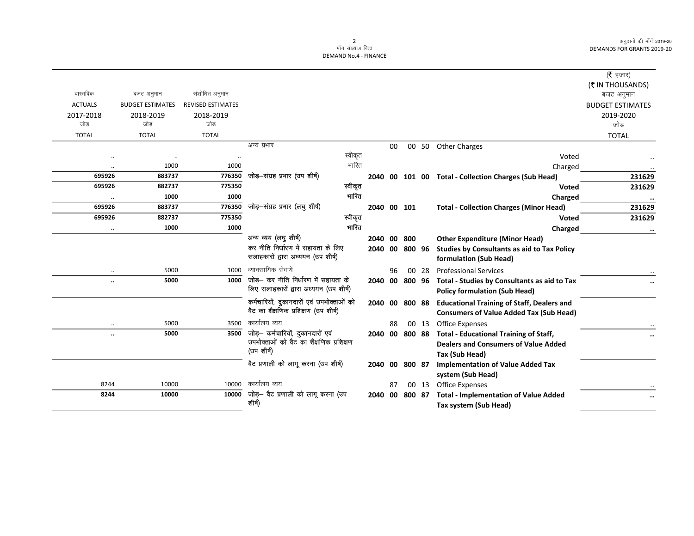|                |                              |                          |                                           |      |    |                |       |                                                      | ( $\bar{\tau}$ हजार)    |
|----------------|------------------------------|--------------------------|-------------------------------------------|------|----|----------------|-------|------------------------------------------------------|-------------------------|
|                |                              |                          |                                           |      |    |                |       |                                                      | (₹ IN THOUSANDS)        |
| वास्तविक       | बजट अनुमान                   | संशोधित अनुमान           |                                           |      |    |                |       |                                                      | बजट अनुमान              |
| <b>ACTUALS</b> | <b>BUDGET ESTIMATES</b>      | <b>REVISED ESTIMATES</b> |                                           |      |    |                |       |                                                      | <b>BUDGET ESTIMATES</b> |
| 2017-2018      | 2018-2019                    | 2018-2019                |                                           |      |    |                |       |                                                      | 2019-2020               |
| जोड            | जोड                          | जोड                      |                                           |      |    |                |       |                                                      | जोड                     |
| <b>TOTAL</b>   | <b>TOTAL</b>                 | <b>TOTAL</b>             |                                           |      |    |                |       |                                                      | <b>TOTAL</b>            |
|                |                              |                          | अन्य प्रभार                               |      | 00 |                |       | 00 50 Other Charges                                  |                         |
|                |                              |                          | स्वीकृत                                   |      |    |                |       | Voted                                                |                         |
|                | 1000<br>$\ddot{\phantom{0}}$ | 1000                     | भारित                                     |      |    |                |       | Charged                                              |                         |
| 695926         | 883737                       | 776350                   | जोड़—संग्रह प्रभार (उप शीर्ष)             |      |    |                |       | 2040 00 101 00 Total - Collection Charges (Sub Head) | 231629                  |
| 695926         | 882737                       | 775350                   | स्वीकृत                                   |      |    |                |       | Voted                                                | 231629                  |
|                | 1000<br>$\ddotsc$            | 1000                     | भारित                                     |      |    |                |       | Charged                                              | $\bullet\bullet$        |
| 695926         | 883737                       | 776350                   | जोड़—संग्रह प्रभार (लघु शीर्ष)            |      |    | 2040 00 101    |       | <b>Total - Collection Charges (Minor Head)</b>       | 231629                  |
| 695926         | 882737                       | 775350                   | स्वीकृत                                   |      |    |                |       | <b>Voted</b>                                         | 231629                  |
|                | 1000<br>$\ldots$             | 1000                     | गारित                                     |      |    |                |       | Charged                                              | $\cdots$                |
|                |                              |                          | अन्य व्यय (लघु शीर्ष)                     |      |    | 2040 00 800    |       | <b>Other Expenditure (Minor Head)</b>                |                         |
|                |                              |                          | कर नीति निर्धारण में सहायता के लिए        | 2040 |    | 00 800 96      |       | <b>Studies by Consultants as aid to Tax Policy</b>   |                         |
|                |                              |                          | सलाहकारों द्वारा अध्ययन (उप शीर्ष)        |      |    |                |       | formulation (Sub Head)                               |                         |
|                | 5000<br>$\ldots$             | 1000                     | व्यावसायिक सेवायें                        |      | 96 |                | 00 28 | <b>Professional Services</b>                         |                         |
|                | 5000<br>$\ddotsc$            | 1000                     | जोड़- कर नीति निर्धारण में सहायता के      |      |    | 2040 00 800 96 |       | Total - Studies by Consultants as aid to Tax         |                         |
|                |                              |                          | लिए सलाहकारों द्वारा अध्ययन (उप शीर्ष)    |      |    |                |       | <b>Policy formulation (Sub Head)</b>                 |                         |
|                |                              |                          | कर्मचारियों, दुकानदारों एवं उपभोक्ताओं को |      |    | 2040 00 800 88 |       | <b>Educational Training of Staff, Dealers and</b>    |                         |
|                |                              |                          | वैट का शैक्षणिक प्रशिक्षण (उप शीर्ष)      |      |    |                |       | <b>Consumers of Value Added Tax (Sub Head)</b>       |                         |
|                | 5000                         | 3500                     | कार्यालय व्यय                             |      | 88 |                | 00 13 | <b>Office Expenses</b>                               |                         |
|                | 5000<br>$\ddot{\phantom{0}}$ | 3500                     | जोड़– कर्मचारियों, दुकानदारों एवं         | 2040 |    | 00 800 88      |       | <b>Total - Educational Training of Staff,</b>        | $\cdots$                |
|                |                              |                          | उपभोक्ताओं को वैट का शैक्षणिक प्रशिक्षण   |      |    |                |       | <b>Dealers and Consumers of Value Added</b>          |                         |
|                |                              |                          | (उप शीर्ष)                                |      |    |                |       | Tax (Sub Head)                                       |                         |
|                |                              |                          | वैट प्रणाली को लागू करना (उप शीर्ष)       |      |    | 2040 00 800 87 |       | <b>Implementation of Value Added Tax</b>             |                         |
|                |                              |                          |                                           |      |    |                |       | system (Sub Head)                                    |                         |
| 8244           | 10000                        | 10000                    | कार्यालय व्यय                             |      | 87 |                | 00 13 | Office Expenses                                      |                         |
| 8244           | 10000                        | 10000                    | जोड़— वैट प्रणाली को लागू करना (उप        | 2040 | 00 | 800 87         |       | <b>Total - Implementation of Value Added</b>         |                         |
|                |                              |                          | शीर्ष)                                    |      |    |                |       | Tax system (Sub Head)                                |                         |
|                |                              |                          |                                           |      |    |                |       |                                                      |                         |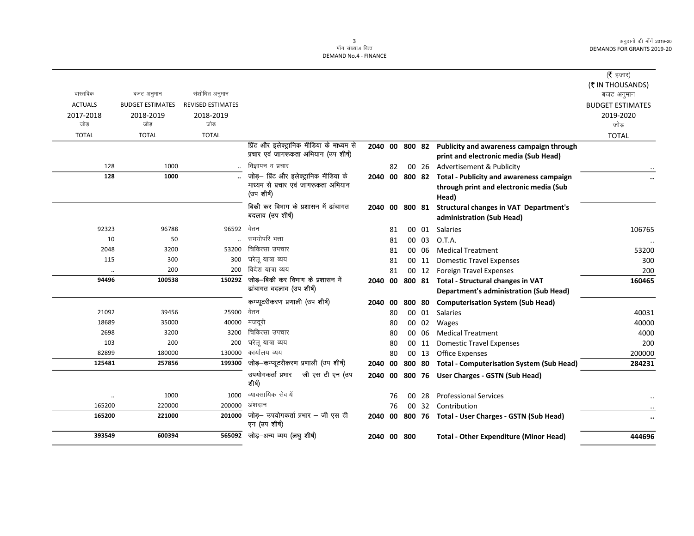|                      |                         |                   |                                                     |             |    |                |       |                                                         | ( $\bar{\tau}$ हजार)    |
|----------------------|-------------------------|-------------------|-----------------------------------------------------|-------------|----|----------------|-------|---------------------------------------------------------|-------------------------|
|                      |                         |                   |                                                     |             |    |                |       |                                                         | (₹ IN THOUSANDS)        |
| वास्तविक             | बजट अनुमान              | संशोधित अनुमान    |                                                     |             |    |                |       |                                                         | बजट अनुमान              |
| <b>ACTUALS</b>       | <b>BUDGET ESTIMATES</b> | REVISED ESTIMATES |                                                     |             |    |                |       |                                                         | <b>BUDGET ESTIMATES</b> |
| 2017-2018            | 2018-2019               | 2018-2019         |                                                     |             |    |                |       |                                                         | 2019-2020               |
| जोड                  | जोड                     | जोड               |                                                     |             |    |                |       |                                                         | जोड                     |
| <b>TOTAL</b>         | <b>TOTAL</b>            | <b>TOTAL</b>      |                                                     |             |    |                |       |                                                         | <b>TOTAL</b>            |
|                      |                         |                   | प्रिंट और इलेक्ट्रानिक मीडिया के माध्यम से          |             |    | 2040 00 800 82 |       | Publicity and awareness campaign through                |                         |
|                      |                         |                   | प्रचार एवं जागरूकता अभियान (उप शीर्ष)               |             |    |                |       | print and electronic media (Sub Head)                   |                         |
| 128                  | 1000                    |                   | विज्ञापन व प्रचार                                   |             | 82 |                |       | 00 26 Advertisement & Publicity                         |                         |
| 128                  | 1000                    |                   | जोड़- प्रिंट और इलेक्ट्रानिक मीडिया के              |             |    |                |       | 2040 00 800 82 Total - Publicity and awareness campaign |                         |
|                      |                         |                   | माध्यम से प्रचार एवं जागरूकता अभियान<br>(उप शीर्ष)  |             |    |                |       | through print and electronic media (Sub                 |                         |
|                      |                         |                   |                                                     |             |    |                |       | Head)                                                   |                         |
|                      |                         |                   | बिकी कर विभाग के प्रशासन में ढांचागत                | 2040        |    |                |       | 00 800 81 Structural changes in VAT Department's        |                         |
|                      |                         |                   | बदलाव (उप शीर्ष)                                    |             |    |                |       | administration (Sub Head)                               |                         |
| 92323                | 96788                   | 96592 वेतन        |                                                     |             | 81 |                | 00 01 | Salaries                                                | 106765                  |
| 10                   | 50                      |                   | समयोपरि भत्ता                                       |             | 81 |                | 00 03 | O.T.A.                                                  |                         |
| 2048                 | 3200                    | 53200             | चिकित्सा उपचार                                      |             | 81 |                | 00 06 | <b>Medical Treatment</b>                                | 53200                   |
| 115                  | 300                     | 300               | घरेलू यात्रा व्यय                                   |             | 81 |                | 00 11 | <b>Domestic Travel Expenses</b>                         | 300                     |
|                      | 200                     | 200               | विदेश यात्रा व्यय                                   |             | 81 |                | 00 12 | <b>Foreign Travel Expenses</b>                          | 200                     |
| 94496                | 100538                  | 150292            | जोड़-बिकी कर विभाग के प्रशासन में                   | 2040        | 00 |                |       | 800 81 Total - Structural changes in VAT                | 160465                  |
|                      |                         |                   | ढांचागत बदलाव (उप शीर्ष)                            |             |    |                |       | <b>Department's administration (Sub Head)</b>           |                         |
|                      |                         |                   | कम्प्यूटरीकरण प्रणाली (उप शीर्ष)                    | 2040        | 00 |                |       | 800 80 Computerisation System (Sub Head)                |                         |
| 21092                | 39456                   | 25900             | वेतन                                                |             | 80 |                | 00 01 | Salaries                                                | 40031                   |
| 18689                | 35000                   | 40000             | मजदूरी                                              |             | 80 |                | 00 02 | Wages                                                   | 40000                   |
| 2698                 | 3200                    | 3200              | चिकित्सा उपचार                                      |             | 80 |                | 00 06 | <b>Medical Treatment</b>                                | 4000                    |
| 103                  | 200                     | 200               | घरेलू यात्रा व्यय                                   |             | 80 |                | 00 11 | <b>Domestic Travel Expenses</b>                         | 200                     |
| 82899                | 180000                  | 130000            | कार्यालय व्यय                                       |             | 80 |                | 00 13 | <b>Office Expenses</b>                                  | 200000                  |
| 125481               | 257856                  | 199300            | जोड़—कम्प्यूटरीकरण प्रणाली (उप शीर्ष)               | 2040        |    |                |       | 00 800 80 Total - Computerisation System (Sub Head)     | 284231                  |
|                      |                         |                   | उपयोगकर्ता प्रभार - जी एस टी एन (उप<br>शीर्ष)       | 2040        |    |                |       | 00 800 76 User Charges - GSTN (Sub Head)                |                         |
| $\ddot{\phantom{a}}$ | 1000                    | 1000              | व्यावसायिक सेवायें                                  |             | 76 |                | 00 28 | <b>Professional Services</b>                            |                         |
| 165200               | 220000                  | 200000            | अंशदान                                              |             | 76 |                |       | 00 32 Contribution                                      |                         |
| 165200               | 221000                  | 201000            | जोड़- उपयोगकर्ता प्रभार - जी एस टी<br>एन (उप शीर्ष) | 2040        |    |                |       | 00 800 76 Total - User Charges - GSTN (Sub Head)        | $\ddot{\phantom{a}}$    |
| 393549               | 600394                  | 565092            | जोड़-अन्य व्यय (लघु शीर्ष)                          | 2040 00 800 |    |                |       | <b>Total - Other Expenditure (Minor Head)</b>           | 444696                  |
|                      |                         |                   |                                                     |             |    |                |       |                                                         |                         |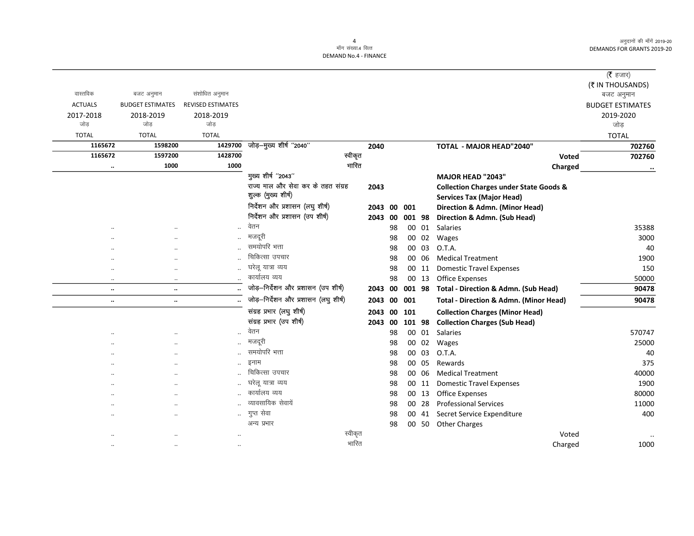|                      |                         |                          |                                      |         |         |    |        |       |                                                   | ( <b>रै</b> हजार)       |
|----------------------|-------------------------|--------------------------|--------------------------------------|---------|---------|----|--------|-------|---------------------------------------------------|-------------------------|
|                      |                         |                          |                                      |         |         |    |        |       |                                                   | (₹ IN THOUSANDS)        |
| वास्तविक             | बजट अनुमान              | संशोधित अनुमान           |                                      |         |         |    |        |       |                                                   | बजट अनुमान              |
| <b>ACTUALS</b>       | <b>BUDGET ESTIMATES</b> | <b>REVISED ESTIMATES</b> |                                      |         |         |    |        |       |                                                   | <b>BUDGET ESTIMATES</b> |
| 2017-2018            | 2018-2019               | 2018-2019                |                                      |         |         |    |        |       |                                                   | 2019-2020               |
| जोड                  | जोड                     | जोड                      |                                      |         |         |    |        |       |                                                   | जोड़                    |
| <b>TOTAL</b>         | <b>TOTAL</b>            | <b>TOTAL</b>             |                                      |         |         |    |        |       |                                                   | <b>TOTAL</b>            |
| 1165672              | 1598200                 | 1429700                  | जोड़-मुख्य शीर्ष "2040"              |         | 2040    |    |        |       | <b>TOTAL - MAJOR HEAD"2040"</b>                   | 702760                  |
| 1165672              | 1597200                 | 1428700                  |                                      | स्वीकृत |         |    |        |       | Voted                                             | 702760                  |
| $\ddot{\phantom{0}}$ | 1000                    | 1000                     |                                      | भारित   |         |    |        |       | Charged                                           | $\cdots$                |
|                      |                         |                          | मुख्य शीर्ष "2043"                   |         |         |    |        |       | <b>MAJOR HEAD "2043"</b>                          |                         |
|                      |                         |                          | राज्य माल और सेवा कर के तहत संग्रह   |         | 2043    |    |        |       | <b>Collection Charges under State Goods &amp;</b> |                         |
|                      |                         |                          | शुल्क (मुख्य शीर्ष)                  |         |         |    |        |       | <b>Services Tax (Major Head)</b>                  |                         |
|                      |                         |                          | निर्देशन और प्रशासन (लघु शीर्ष)      |         | 2043    | 00 | 001    |       | Direction & Admn. (Minor Head)                    |                         |
|                      |                         |                          | निर्देशन और प्रशासन (उप शीर्ष)       |         | 2043 00 |    | 001 98 |       | Direction & Admn. (Sub Head)                      |                         |
|                      |                         | $\ldots$                 | वेतन                                 |         |         | 98 |        | 00 01 | Salaries                                          | 35388                   |
|                      |                         |                          | मजदरी                                |         |         | 98 |        | 00 02 | Wages                                             | 3000                    |
|                      | $\cdot$                 |                          | समयोपरि भत्ता                        |         |         | 98 |        | 00 03 | O.T.A.                                            | 40                      |
|                      | $\cdot$                 |                          | चिकित्सा उपचार                       |         |         | 98 |        | 00 06 | <b>Medical Treatment</b>                          | 1900                    |
|                      | $\ddotsc$               | $\ddotsc$                | घरेलू यात्रा व्यय                    |         |         | 98 |        | 00 11 | <b>Domestic Travel Expenses</b>                   | 150                     |
| $\ddotsc$            | $\cdot\cdot$            |                          | कार्यालय व्यय                        |         |         | 98 |        | 00 13 | <b>Office Expenses</b>                            | 50000                   |
| $\ddot{\phantom{a}}$ | $\ddotsc$               |                          | जोड़-निर्देशन और प्रशासन (उप शीर्ष)  |         | 2043 00 |    | 001 98 |       | Total - Direction & Admn. (Sub Head)              | 90478                   |
| $\ldots$             | $\ddotsc$               |                          | जोड़-निर्देशन और प्रशासन (लघु शीर्ष) |         | 2043 00 |    | 001    |       | <b>Total - Direction &amp; Admn. (Minor Head)</b> | 90478                   |
|                      |                         |                          | संग्रह प्रभार (लघु शीर्ष)            |         | 2043 00 |    | 101    |       | <b>Collection Charges (Minor Head)</b>            |                         |
|                      |                         |                          | संग्रह प्रभार (उप शीर्ष)             |         | 2043 00 |    | 101 98 |       | <b>Collection Charges (Sub Head)</b>              |                         |
|                      |                         | $\ddotsc$                | वेतन                                 |         |         | 98 |        | 00 01 | <b>Salaries</b>                                   | 570747                  |
|                      |                         | $\ddotsc$                | मजदूरी                               |         |         | 98 | 00     | 02    | Wages                                             | 25000                   |
|                      | $\ddotsc$               |                          | समयोपरि भत्ता                        |         |         | 98 | 00     | 03    | O.T.A.                                            | 40                      |
|                      | $\cdot$ .               | $\ddotsc$                | इनाम                                 |         |         | 98 |        | 00 05 | Rewards                                           | 375                     |
|                      | $\ddotsc$               |                          | चिकित्सा उपचार                       |         |         | 98 |        | 00 06 | <b>Medical Treatment</b>                          | 40000                   |
|                      | $\ddotsc$               |                          | घरेलू यात्रा व्यय                    |         |         | 98 |        | 00 11 | <b>Domestic Travel Expenses</b>                   | 1900                    |
|                      | $\ddotsc$               |                          | कार्यालय व्यय                        |         |         | 98 |        | 00 13 | <b>Office Expenses</b>                            | 80000                   |
|                      | $\ddotsc$               |                          | व्यावसायिक सेवायें                   |         |         | 98 |        | 00 28 | <b>Professional Services</b>                      | 11000                   |
|                      | $\ddotsc$               | $\ddot{\phantom{a}}$     | गुप्त सेवा                           |         |         | 98 |        |       | 00 41 Secret Service Expenditure                  | 400                     |
|                      |                         |                          | अन्य प्रभार                          |         |         | 98 |        | 00 50 | <b>Other Charges</b>                              |                         |
|                      |                         |                          |                                      | स्वीकृत |         |    |        |       | Voted                                             |                         |
| $\cdot$              | $\cdot$                 | $\ddotsc$                |                                      | भारित   |         |    |        |       | Charged                                           | 1000                    |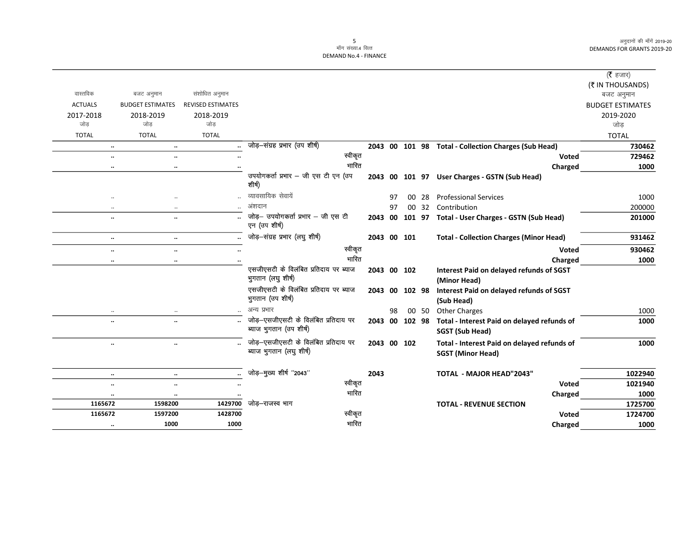$\overline{\phantom{0}}$ 

|                      |                         |                          |                                                                  |      |    |                |       |                                                                         | ( $\bar{\tau}$ हजार)    |
|----------------------|-------------------------|--------------------------|------------------------------------------------------------------|------|----|----------------|-------|-------------------------------------------------------------------------|-------------------------|
|                      |                         |                          |                                                                  |      |    |                |       |                                                                         | (₹ IN THOUSANDS)        |
| वास्तविक             | बजट अनुमान              | संशोधित अनुमान           |                                                                  |      |    |                |       |                                                                         | बजट अनुमान              |
| <b>ACTUALS</b>       | <b>BUDGET ESTIMATES</b> | <b>REVISED ESTIMATES</b> |                                                                  |      |    |                |       |                                                                         | <b>BUDGET ESTIMATES</b> |
| 2017-2018            | 2018-2019               | 2018-2019                |                                                                  |      |    |                |       |                                                                         | 2019-2020               |
| जोड                  | जोड                     | जोड                      |                                                                  |      |    |                |       |                                                                         | जोड़                    |
| <b>TOTAL</b>         | <b>TOTAL</b>            | <b>TOTAL</b>             |                                                                  |      |    |                |       |                                                                         | <b>TOTAL</b>            |
|                      | $\ddotsc$<br>$\ddotsc$  |                          | जोड़-संग्रह प्रभार (उप शीर्ष)                                    |      |    |                |       | 2043 00 101 98 Total - Collection Charges (Sub Head)                    | 730462                  |
| $\ddot{\phantom{0}}$ | $\ddot{\phantom{a}}$    |                          | स्वीकृत                                                          |      |    |                |       | <b>Voted</b>                                                            | 729462                  |
| $\cdots$             | $\cdots$                | $\cdot$                  | भारित                                                            |      |    |                |       | Charged                                                                 | 1000                    |
|                      |                         |                          | उपयोगकर्ता प्रभार - जी एस टी एन (उप<br>शीर्ष)                    |      |    |                |       | 2043 00 101 97 User Charges - GSTN (Sub Head)                           |                         |
| $\cdot\cdot$         |                         |                          | व्यावसायिक सेवायें                                               |      | 97 |                | 00 28 | <b>Professional Services</b>                                            | 1000                    |
| $\ddotsc$            |                         |                          | अंशदान                                                           |      | 97 |                |       | 00 32 Contribution                                                      | 200000                  |
| $\ddot{\phantom{0}}$ | $\ddot{\phantom{0}}$    |                          | जोड़- उपयोगकर्ता प्रभार - जी एस टी<br>एन (उप शीर्ष)              | 2043 |    |                |       | 00 101 97 Total - User Charges - GSTN (Sub Head)                        | 201000                  |
| $\ldots$             | $\ldots$                |                          | जोड़-संग्रह प्रभार (लघु शीर्ष)                                   |      |    | 2043 00 101    |       | <b>Total - Collection Charges (Minor Head)</b>                          | 931462                  |
| $\ldots$             | $\cdot\cdot$            |                          | स्वीकृत                                                          |      |    |                |       | Voted                                                                   | 930462                  |
|                      | $\ddot{\phantom{a}}$    |                          | भारित                                                            |      |    |                |       | Charged                                                                 | 1000                    |
|                      |                         |                          | एसजीएसटी के विलंबित प्रतिदाय पर ब्याज<br>भुगतान (लघु शीर्ष)      |      |    | 2043 00 102    |       | Interest Paid on delayed refunds of SGST<br>(Minor Head)                |                         |
|                      |                         |                          | एसजीएसटी के विलंबित प्रतिदाय पर ब्याज<br>भुगतान (उप शीर्ष)       | 2043 |    | 00 102 98      |       | Interest Paid on delayed refunds of SGST<br>(Sub Head)                  |                         |
| $\ddotsc$            | $\ddotsc$               |                          | अन्य प्रभार                                                      |      | 98 |                | 00 50 | <b>Other Charges</b>                                                    | 1000                    |
| $\ddot{\phantom{0}}$ | $\ddotsc$               |                          | जोड़-एसजीएसटी के विलंबित प्रतिदाय पर<br>ब्याज भुगतान (उप शीर्ष)  |      |    | 2043 00 102 98 |       | Total - Interest Paid on delayed refunds of                             | 1000                    |
|                      |                         |                          |                                                                  |      |    |                |       | SGST (Sub Head)                                                         |                         |
| $\ddotsc$            | $\ddotsc$               |                          | जोड़–एसजीएसटी के विलंबित प्रतिदाय पर<br>ब्याज भुगतान (लघु शीर्ष) |      |    | 2043 00 102    |       | Total - Interest Paid on delayed refunds of<br><b>SGST (Minor Head)</b> | 1000                    |
|                      | $\ddotsc$<br>$\ldots$   | $\ddotsc$                | जोड़-मुख्य शीर्ष "2043"                                          | 2043 |    |                |       | <b>TOTAL - MAJOR HEAD"2043"</b>                                         | 1022940                 |
| $\ldots$             | $\cdot\cdot$            |                          | स्वीकृत                                                          |      |    |                |       | <b>Voted</b>                                                            | 1021940                 |
| $\ldots$             | $\cdot\cdot$            |                          | भारित                                                            |      |    |                |       | Charged                                                                 | 1000                    |
| 1165672              | 1598200                 | 1429700                  | जोड़-राजस्व भाग                                                  |      |    |                |       | <b>TOTAL - REVENUE SECTION</b>                                          | 1725700                 |
| 1165672              | 1597200                 | 1428700                  | स्वीकृत                                                          |      |    |                |       | Voted                                                                   | 1724700                 |
| $\ldots$             | 1000                    | 1000                     | भारित                                                            |      |    |                |       | Charged                                                                 | 1000                    |
|                      |                         |                          |                                                                  |      |    |                |       |                                                                         |                         |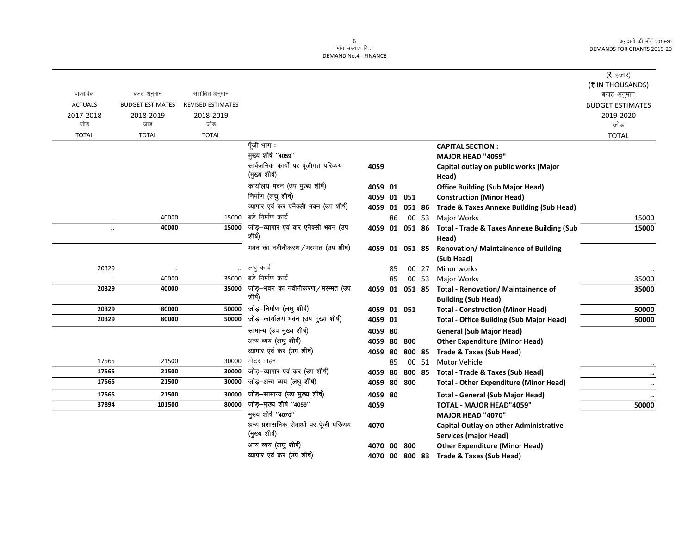6<br>माँग संख्या.4 वित्त DEMAND No.4 - FINANCE

|                |                         |                          |                                                         |                        |    |        |       |                                                                               | ( <b>रै</b> हजार)<br>(₹ IN THOUSANDS) |
|----------------|-------------------------|--------------------------|---------------------------------------------------------|------------------------|----|--------|-------|-------------------------------------------------------------------------------|---------------------------------------|
| वास्तविक       | बजट अनुमान              | संशोधित अनुमान           |                                                         |                        |    |        |       |                                                                               | बजट अनुमान                            |
| <b>ACTUALS</b> | <b>BUDGET ESTIMATES</b> | <b>REVISED ESTIMATES</b> |                                                         |                        |    |        |       |                                                                               | <b>BUDGET ESTIMATES</b>               |
| 2017-2018      | 2018-2019               | 2018-2019                |                                                         |                        |    |        |       |                                                                               | 2019-2020                             |
| जोड़           | जोड                     | जोड                      |                                                         |                        |    |        |       |                                                                               | जोड                                   |
| <b>TOTAL</b>   | <b>TOTAL</b>            | <b>TOTAL</b>             |                                                         |                        |    |        |       |                                                                               | <b>TOTAL</b>                          |
|                |                         |                          | पूँजी भाग :                                             |                        |    |        |       | <b>CAPITAL SECTION:</b>                                                       |                                       |
|                |                         |                          | मुख्य शीर्ष "4059"                                      |                        |    |        |       | MAJOR HEAD "4059"                                                             |                                       |
|                |                         |                          | सार्वजनिक कार्यों पर पूंजीगत परिव्यय                    | 4059                   |    |        |       | Capital outlay on public works (Major                                         |                                       |
|                |                         |                          | (मुख्य शीर्ष)                                           |                        |    |        |       | Head)                                                                         |                                       |
|                |                         |                          | कार्यालय भवन (उप मुख्य शीर्ष)                           | 4059 01                |    |        |       | <b>Office Building (Sub Major Head)</b>                                       |                                       |
|                |                         |                          | निर्माण (लघु शीर्ष)                                     | 4059 01 051            |    |        |       | <b>Construction (Minor Head)</b>                                              |                                       |
|                |                         |                          | व्यापार एवं कर एनैक्सी भवन (उप शीर्ष)                   | 4059 01                |    |        |       | 051 86 Trade & Taxes Annexe Building (Sub Head)                               |                                       |
| $\ddotsc$      | 40000                   | 15000                    | बडे निर्माण कार्य                                       |                        | 86 |        | 00 53 | Major Works                                                                   | 15000                                 |
|                | 40000                   | 15000                    | जोड़—व्यापार एवं कर एनैक्सी भवन (उप<br>शीर्ष)           | 4059 01 051 86         |    |        |       | <b>Total - Trade &amp; Taxes Annexe Building (Sub</b>                         | 15000                                 |
|                |                         |                          |                                                         |                        |    |        |       | Head)                                                                         |                                       |
|                |                         |                          | भवन का नवीनीकरण/मरम्मत (उप शीर्ष)                       | 4059 01 051 85         |    |        |       | <b>Renovation/ Maintainence of Building</b>                                   |                                       |
|                |                         |                          |                                                         |                        |    |        |       | (Sub Head)                                                                    |                                       |
| 20329          |                         | $\ldots$                 | लघु कार्य                                               |                        | 85 |        | 00 27 | Minor works                                                                   |                                       |
|                | 40000                   | 35000                    | बड़े निर्माण कार्य                                      |                        | 85 |        | 00 53 | <b>Major Works</b>                                                            | 35000                                 |
| 20329          | 40000                   | 35000                    | जोड़—भवन का नवीनीकरण/मरम्मत (उप<br>शीर्ष)               |                        |    |        |       | 4059 01 051 85 Total - Renovation/ Maintainence of                            | 35000                                 |
| 20329          |                         |                          | जोड़–निर्माण (लघु शीर्ष)                                |                        |    |        |       | <b>Building (Sub Head)</b>                                                    |                                       |
| 20329          | 80000<br>80000          | 50000<br>50000           | जोड़—कार्यालय भवन (उप मुख्य शीर्ष)                      | 4059 01 051            |    |        |       | <b>Total - Construction (Minor Head)</b>                                      | 50000                                 |
|                |                         |                          |                                                         | 4059 01                |    |        |       | <b>Total - Office Building (Sub Major Head)</b>                               | 50000                                 |
|                |                         |                          | सामान्य (उप मुख्य शीर्ष)                                | 4059 80                |    |        |       | <b>General (Sub Major Head)</b>                                               |                                       |
|                |                         |                          | अन्य व्यय (लघु शीर्ष)                                   | 4059 80                |    | 800    |       | <b>Other Expenditure (Minor Head)</b>                                         |                                       |
| 17565          | 21500                   | 30000                    | व्यापार एवं कर (उप शीर्ष)<br>मोटर वाहन                  | 4059 80                |    | 800 85 |       | Trade & Taxes (Sub Head)                                                      |                                       |
| 17565          | 21500                   | 30000                    | जोड़-व्यापार एवं कर (उप शीर्ष)                          |                        | 85 |        | 00 51 | Motor Vehicle                                                                 |                                       |
| 17565          | 21500                   | 30000                    | जोड़–अन्य व्यय (लघु शीर्ष)                              | 4059 80<br>4059 80 800 |    |        |       | 800 85 Total - Trade & Taxes (Sub Head)                                       |                                       |
|                |                         |                          |                                                         |                        |    |        |       | <b>Total - Other Expenditure (Minor Head)</b>                                 | $\bullet\bullet$                      |
| 17565          | 21500                   | 30000                    | जोड़-सामान्य (उप मुख्य शीर्ष)                           | 4059 80                |    |        |       | <b>Total - General (Sub Major Head)</b>                                       |                                       |
| 37894          | 101500                  | 80000                    | जोड़-मुख्य शीर्ष "4059"<br>मुख्य शीर्ष "4070"           | 4059                   |    |        |       | <b>TOTAL - MAJOR HEAD"4059"</b>                                               | 50000                                 |
|                |                         |                          |                                                         |                        |    |        |       | <b>MAJOR HEAD "4070"</b>                                                      |                                       |
|                |                         |                          | अन्य प्रशासनिक सेवाओं पर पूँजी परिव्यय<br>(मुख्य शीर्ष) | 4070                   |    |        |       | <b>Capital Outlay on other Administrative</b><br><b>Services (major Head)</b> |                                       |
|                |                         |                          | अन्य व्यय (लघु शीर्ष)                                   | 4070 00 800            |    |        |       | <b>Other Expenditure (Minor Head)</b>                                         |                                       |

व्यापार एवं कर (उप शीर्ष) 4070 00 800 83 Trade & Taxes (Sub Head)